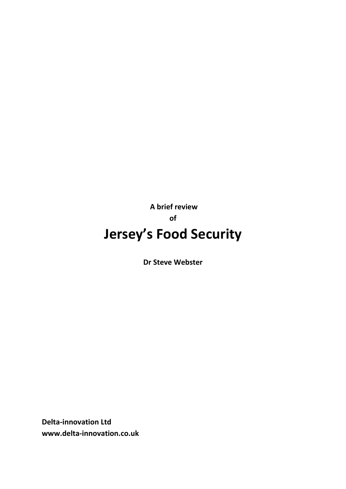**A brief review of Jersey's Food Security** 

**Dr Steve Webster** 

**Delta-innovation Ltd www.delta-innovation.co.uk**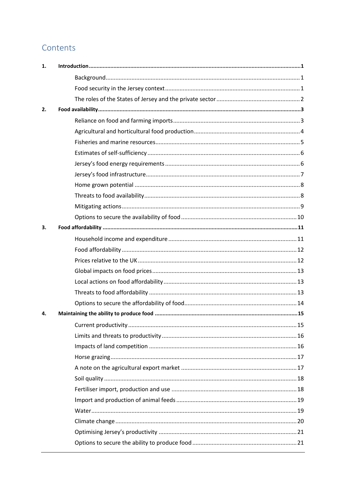## Contents

| 1. |  |
|----|--|
|    |  |
|    |  |
|    |  |
| 2. |  |
|    |  |
|    |  |
|    |  |
|    |  |
|    |  |
|    |  |
|    |  |
|    |  |
|    |  |
|    |  |
| 3. |  |
|    |  |
|    |  |
|    |  |
|    |  |
|    |  |
|    |  |
|    |  |
| 4. |  |
|    |  |
|    |  |
|    |  |
|    |  |
|    |  |
|    |  |
|    |  |
|    |  |
|    |  |
|    |  |
|    |  |
|    |  |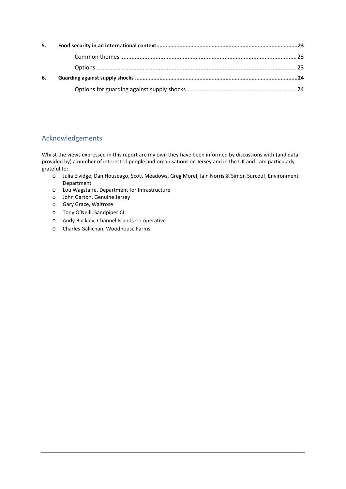| 5. |  |
|----|--|
|    |  |
|    |  |
| 6. |  |
|    |  |

## Acknowledgements

Whilst the views expressed in this report are my own they have been informed by discussions with (and data provided by) a number of interested people and organisations on Jersey and in the UK and I am particularly grateful to:

- o Julia Elvidge, Dan Houseago, Scott Meadows, Greg Morel, Iain Norris & Simon Surcouf, Environment Department
- o Lou Wagstaffe, Department for Infrastructure
- o John Garton, Genuine Jersey
- o Gary Grace, Waitrose
- o Tony O'Neill, Sandpiper CI
- o Andy Buckley, Channel Islands Co-operative
- o Charles Gallichan, Woodhouse Farms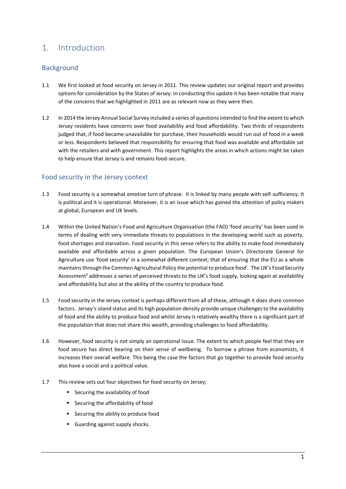## <span id="page-3-0"></span>1. Introduction

## <span id="page-3-1"></span>**Background**

- 1.1 We first looked at food security on Jersey in 2011. This review updates our original report and provides options for consideration by the States of Jersey. In conducting this update it has been notable that many of the concerns that we highlighted in 2011 are as relevant now as they were then.
- 1.2 In 2014 the Jersey Annual Social Survey included a series of questions intended to find the extent to which Jersey residents have concerns over food availability and food affordability. Two thirds of respondents judged that, if food became unavailable for purchase, their households would run out of food in a week or less. Respondents believed that responsibility for ensuring that food was available and affordable sat with the retailers and with government. This report highlights the areas in which actions might be taken to help ensure that Jersey is and remains food-secure.

#### <span id="page-3-2"></span>Food security in the Jersey context

- 1.3 Food security is a somewhat emotive turn of phrase. It is linked by many people with self-sufficiency. It is political and it is operational. Moreover, it is an issue which has gained the attention of policy makers at global, European and UK levels.
- 1.4 Within the United Nation's Food and Agriculture Organisation (the FAO) 'food security' has been used in terms of dealing with very immediate threats to populations in the developing world such as poverty, food shortages and starvation. Food security in this sense refers to the ability to make food immediately available and affordable across a given population. The European Union's Directorate General for Agriculture use 'food security' in a somewhat different context; that of ensuring that the EU as a whole maintains through the Common Agricultural Policy the potential to produce food<sup>i</sup>. The UK's Food Security Assessment<sup>ii</sup> addresses a series of perceived threats to the UK's food supply, looking again at availability and affordability but also at the ability of the country to produce food.
- 1.5 Food security in the Jersey context is perhaps different from all of these, although it does share common factors. Jersey's island status and its high population density provide unique challenges to the availability of food and the ability to produce food and whilst Jersey is relatively wealthy there is a significant part of the population that does not share this wealth, providing challenges to food affordability.
- 1.6 However, food security is not simply an operational issue. The extent to which people feel that they are food secure has direct bearing on their sense of wellbeing. To borrow a phrase from economists, it increases their overall welfare. This being the case the factors that go together to provide food security also have a social and a political value.
- 1.7 This review sets out four objectives for food security on Jersey;
	- Securing the availability of food
	- Securing the affordability of food
	- **EXECUTE SECUTE IS EXECUTE:** Securing the ability to produce food
	- Guarding against supply shocks.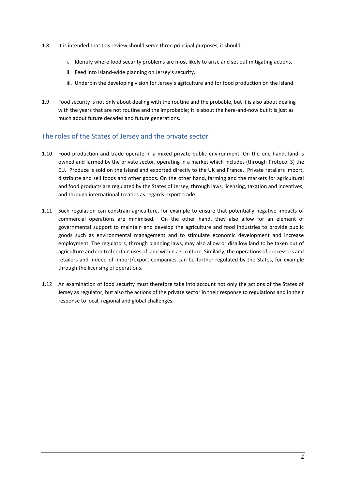- 1.8 It is intended that this review should serve three principal purposes, it should:
	- i. Identify where food security problems are most likely to arise and set out mitigating actions.
	- ii. Feed into island-wide planning on Jersey's security.
	- iii. Underpin the developing vision for Jersey's agriculture and for food production on the Island.
- 1.9 Food security is not only about dealing with the routine and the probable, but it is also about dealing with the years that are not routine and the improbable; it is about the here-and-now but it is just as much about future decades and future generations.

#### <span id="page-4-0"></span>The roles of the States of Jersey and the private sector

- 1.10 Food production and trade operate in a mixed private-public environment. On the one hand, land is owned and farmed by the private sector, operating in a market which includes (through Protocol 3) the EU. Produce is sold on the Island and exported directly to the UK and France. Private retailers import, distribute and sell foods and other goods. On the other hand, farming and the markets for agricultural and food products are regulated by the States of Jersey, through laws, licensing, taxation and incentives; and through international treaties as regards export trade.
- 1.11 Such regulation can constrain agriculture, for example to ensure that potentially negative impacts of commercial operations are minimised. On the other hand, they also allow for an element of governmental support to maintain and develop the agriculture and food industries to provide public goods such as environmental management and to stimulate economic development and increase employment. The regulators, through planning laws, may also allow or disallow land to be taken out of agriculture and control certain uses of land within agriculture. Similarly, the operations of processors and retailers and indeed of import/export companies can be further regulated by the States, for example through the licensing of operations.
- 1.12 An examination of food security must therefore take into account not only the actions of the States of Jersey as regulator, but also the actions of the private sector in their response to regulations and in their response to local, regional and global challenges.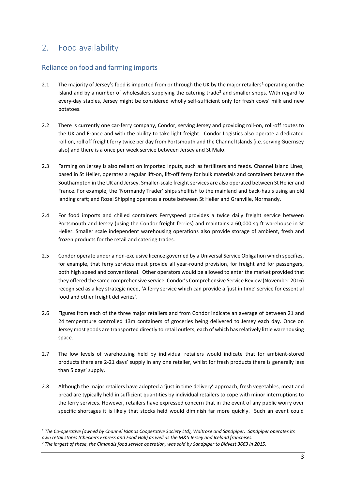## <span id="page-5-0"></span>2. Food availability

### <span id="page-5-1"></span>Reliance on food and farming imports

- 2.1 The majority of Jersey's food is imported from or through the UK by the major retailers<sup>1</sup> operating on the Island and by a number of wholesalers supplying the catering trade<sup>2</sup> and smaller shops. With regard to every-day staples, Jersey might be considered wholly self-sufficient only for fresh cows' milk and new potatoes.
- 2.2 There is currently one car-ferry company, Condor, serving Jersey and providing roll-on, roll-off routes to the UK and France and with the ability to take light freight. Condor Logistics also operate a dedicated roll-on, roll off freight ferry twice per day from Portsmouth and the Channel Islands (i.e. serving Guernsey also) and there is a once per week service between Jersey and St Malo.
- 2.3 Farming on Jersey is also reliant on imported inputs, such as fertilizers and feeds. Channel Island Lines, based in St Helier, operates a regular lift-on, lift-off ferry for bulk materials and containers between the Southampton in the UK and Jersey. Smaller-scale freight services are also operated between St Helier and France. For example, the 'Normandy Trader' ships shellfish to the mainland and back-hauls using an old landing craft; and Rozel Shipping operates a route between St Helier and Granville, Normandy.
- 2.4 For food imports and chilled containers Ferryspeed provides a twice daily freight service between Portsmouth and Jersey (using the Condor freight ferries) and maintains a 60,000 sq ft warehouse in St Helier. Smaller scale independent warehousing operations also provide storage of ambient, fresh and frozen products for the retail and catering trades.
- 2.5 Condor operate under a non-exclusive licence governed by a Universal Service Obligation which specifies, for example, that ferry services must provide all year-round provision, for freight and for passengers, both high speed and conventional. Other operators would be allowed to enter the market provided that they offered the same comprehensive service. Condor's Comprehensive Service Review (November 2016) recognised as a key strategic need, 'A ferry service which can provide a 'just in time' service for essential food and other freight deliveries'.
- 2.6 Figures from each of the three major retailers and from Condor indicate an average of between 21 and 24 temperature controlled 13m containers of groceries being delivered to Jersey each day. Once on Jersey most goods are transported directly to retail outlets, each of which has relatively little warehousing space.
- 2.7 The low levels of warehousing held by individual retailers would indicate that for ambient-stored products there are 2-21 days' supply in any one retailer, whilst for fresh products there is generally less than 5 days' supply.
- 2.8 Although the major retailers have adopted a 'just in time delivery' approach, fresh vegetables, meat and bread are typically held in sufficient quantities by individual retailers to cope with minor interruptions to the ferry services. However, retailers have expressed concern that in the event of any public worry over specific shortages it is likely that stocks held would diminish far more quickly. Such an event could

<sup>1</sup> *1 The Co-operative (owned by Channel Islands Cooperative Society Ltd), Waitrose and Sandpiper. Sandpiper operates its own retail stores (Checkers Express and Food Hall) as well as the M&S Jersey and Iceland franchises.* 

*<sup>2</sup> The largest of these, the Cimandis food service operation, was sold by Sandpiper to Bidvest 3663 in 2015.*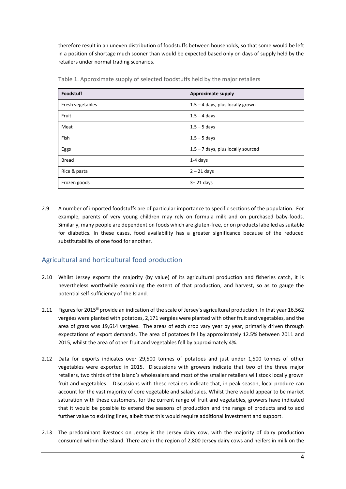therefore result in an uneven distribution of foodstuffs between households, so that some would be left in a position of shortage much sooner than would be expected based only on days of supply held by the retailers under normal trading scenarios.

| Foodstuff        | <b>Approximate supply</b>            |
|------------------|--------------------------------------|
| Fresh vegetables | $1.5 - 4$ days, plus locally grown   |
| Fruit            | $1.5 - 4$ days                       |
| Meat             | $1.5 - 5$ days                       |
| Fish             | $1.5 - 5$ days                       |
| Eggs             | $1.5 - 7$ days, plus locally sourced |
| <b>Bread</b>     | $1-4$ days                           |
| Rice & pasta     | $2 - 21$ days                        |
| Frozen goods     | $3 - 21$ days                        |

Table 1. Approximate supply of selected foodstuffs held by the major retailers

2.9 A number of imported foodstuffs are of particular importance to specific sections of the population. For example, parents of very young children may rely on formula milk and on purchased baby-foods. Similarly, many people are dependent on foods which are gluten-free, or on products labelled as suitable for diabetics. In these cases, food availability has a greater significance because of the reduced substitutability of one food for another.

## <span id="page-6-0"></span>Agricultural and horticultural food production

- 2.10 Whilst Jersey exports the majority (by value) of its agricultural production and fisheries catch, it is nevertheless worthwhile examining the extent of that production, and harvest, so as to gauge the potential self-sufficiency of the Island.
- 2.11 Figures for 2015<sup>III</sup> provide an indication of the scale of Jersey's agricultural production. In that year 16,562 vergées were planted with potatoes, 2,171 vergées were planted with other fruit and vegetables, and the area of grass was 19,614 vergées. The areas of each crop vary year by year, primarily driven through expectations of export demands. The area of potatoes fell by approximately 12.5% between 2011 and 2015, whilst the area of other fruit and vegetables fell by approximately 4%.
- 2.12 Data for exports indicates over 29,500 tonnes of potatoes and just under 1,500 tonnes of other vegetables were exported in 2015. Discussions with growers indicate that two of the three major retailers, two thirds of the Island's wholesalers and most of the smaller retailers will stock locally grown fruit and vegetables. Discussions with these retailers indicate that, in peak season, local produce can account for the vast majority of core vegetable and salad sales. Whilst there would appear to be market saturation with these customers, for the current range of fruit and vegetables, growers have indicated that it would be possible to extend the seasons of production and the range of products and to add further value to existing lines, albeit that this would require additional investment and support.
- 2.13 The predominant livestock on Jersey is the Jersey dairy cow, with the majority of dairy production consumed within the Island. There are in the region of 2,800 Jersey dairy cows and heifers in milk on the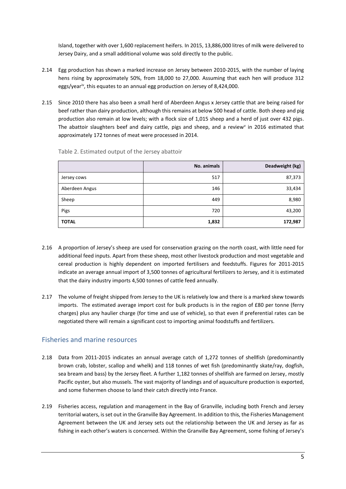Island, together with over 1,600 replacement heifers. In 2015, 13,886,000 litres of milk were delivered to Jersey Dairy, and a small additional volume was sold directly to the public.

- 2.14 Egg production has shown a marked increase on Jersey between 2010-2015, with the number of laying hens rising by approximately 50%, from 18,000 to 27,000. Assuming that each hen will produce 312 eggs/year<sup>iv</sup>, this equates to an annual egg production on Jersey of 8,424,000.
- 2.15 Since 2010 there has also been a small herd of Aberdeen Angus x Jersey cattle that are being raised for beef rather than dairy production, although this remains at below 500 head of cattle. Both sheep and pig production also remain at low levels; with a flock size of 1,015 sheep and a herd of just over 432 pigs. The abattoir slaughters beef and dairy cattle, pigs and sheep, and a review<sup>v</sup> in 2016 estimated that approximately 172 tonnes of meat were processed in 2014.

|                | No. animals | Deadweight (kg) |
|----------------|-------------|-----------------|
| Jersey cows    | 517         | 87,373          |
| Aberdeen Angus | 146         | 33,434          |
| Sheep          | 449         | 8,980           |
| Pigs           | 720         | 43,200          |
| <b>TOTAL</b>   | 1,832       | 172,987         |

Table 2. Estimated output of the Jersey abattoir

- 2.16 A proportion of Jersey's sheep are used for conservation grazing on the north coast, with little need for additional feed inputs. Apart from these sheep, most other livestock production and most vegetable and cereal production is highly dependent on imported fertilisers and feedstuffs. Figures for 2011-2015 indicate an average annual import of 3,500 tonnes of agricultural fertilizers to Jersey, and it is estimated that the dairy industry imports 4,500 tonnes of cattle feed annually.
- 2.17 The volume of freight shipped from Jersey to the UK is relatively low and there is a marked skew towards imports. The estimated average import cost for bulk products is in the region of £80 per tonne (ferry charges) plus any haulier charge (for time and use of vehicle), so that even if preferential rates can be negotiated there will remain a significant cost to importing animal foodstuffs and fertilizers.

#### <span id="page-7-0"></span>Fisheries and marine resources

- 2.18 Data from 2011-2015 indicates an annual average catch of 1,272 tonnes of shellfish (predominantly brown crab, lobster, scallop and whelk) and 118 tonnes of wet fish (predominantly skate/ray, dogfish, sea bream and bass) by the Jersey fleet. A further 1,182 tonnes of shellfish are farmed on Jersey, mostly Pacific oyster, but also mussels. The vast majority of landings and of aquaculture production is exported, and some fishermen choose to land their catch directly into France.
- 2.19 Fisheries access, regulation and management in the Bay of Granville, including both French and Jersey territorial waters, is set out in the Granville Bay Agreement. In addition to this, the Fisheries Management Agreement between the UK and Jersey sets out the relationship between the UK and Jersey as far as fishing in each other's waters is concerned. Within the Granville Bay Agreement, some fishing of Jersey's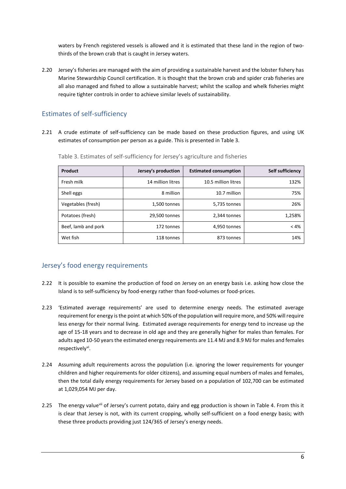waters by French registered vessels is allowed and it is estimated that these land in the region of twothirds of the brown crab that is caught in Jersey waters.

2.20 Jersey's fisheries are managed with the aim of providing a sustainable harvest and the lobster fishery has Marine Stewardship Council certification. It is thought that the brown crab and spider crab fisheries are all also managed and fished to allow a sustainable harvest; whilst the scallop and whelk fisheries might require tighter controls in order to achieve similar levels of sustainability.

## <span id="page-8-0"></span>Estimates of self-sufficiency

2.21 A crude estimate of self-sufficiency can be made based on these production figures, and using UK estimates of consumption per person as a guide. This is presented in Table 3.

| Product             | Jersey's production | <b>Estimated consumption</b> | Self sufficiency |
|---------------------|---------------------|------------------------------|------------------|
| Fresh milk          | 14 million litres   | 10.5 million litres          | 132%             |
| Shell eggs          | 8 million           | 10.7 million                 | 75%              |
| Vegetables (fresh)  | 1,500 tonnes        | 5,735 tonnes                 | 26%              |
| Potatoes (fresh)    | 29,500 tonnes       | 2.344 tonnes                 | 1,258%           |
| Beef, lamb and pork | 172 tonnes          | 4,950 tonnes                 | < 4%             |
| Wet fish            | 118 tonnes          | 873 tonnes                   | 14%              |

Table 3. Estimates of self-sufficiency for Jersey's agriculture and fisheries

#### <span id="page-8-1"></span>Jersey's food energy requirements

- 2.22 It is possible to examine the production of food on Jersey on an energy basis i.e. asking how close the Island is to self-sufficiency by food-energy rather than food-volumes or food-prices.
- 2.23 'Estimated average requirements' are used to determine energy needs. The estimated average requirement for energy is the point at which 50% of the population will require more, and 50% will require less energy for their normal living. Estimated average requirements for energy tend to increase up the age of 15-18 years and to decrease in old age and they are generally higher for males than females. For adults aged 10-50 years the estimated energy requirements are 11.4 MJ and 8.9 MJ for males and females respectively<sup>vi</sup>.
- 2.24 Assuming adult requirements across the population (i.e. ignoring the lower requirements for younger children and higher requirements for older citizens), and assuming equal numbers of males and females, then the total daily energy requirements for Jersey based on a population of 102,700 can be estimated at 1,029,054 MJ per day.
- 2.25 The energy value<sup>vii</sup> of Jersey's current potato, dairy and egg production is shown in Table 4. From this it is clear that Jersey is not, with its current cropping, wholly self-sufficient on a food energy basis; with these three products providing just 124/365 of Jersey's energy needs.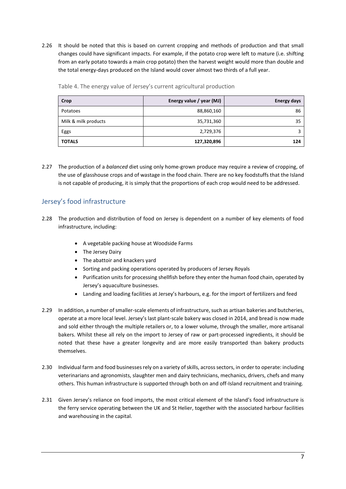2.26 It should be noted that this is based on current cropping and methods of production and that small changes could have significant impacts. For example, if the potato crop were left to mature (i.e. shifting from an early potato towards a main crop potato) then the harvest weight would more than double and the total energy-days produced on the Island would cover almost two thirds of a full year.

| Crop                 | Energy value / year (MJ) | <b>Energy days</b> |
|----------------------|--------------------------|--------------------|
| Potatoes             | 88,860,160               | 86                 |
| Milk & milk products | 35,731,360               | 35                 |
| Eggs                 | 2,729,376                |                    |
| <b>TOTALS</b>        | 127,320,896              | 124                |

Table 4. The energy value of Jersey's current agricultural production

2.27 The production of a *balanced* diet using only home-grown produce may require a review of cropping, of the use of glasshouse crops and of wastage in the food chain. There are no key foodstuffs that the Island is not capable of producing, it is simply that the proportions of each crop would need to be addressed.

#### <span id="page-9-0"></span>Jersey's food infrastructure

- 2.28 The production and distribution of food on Jersey is dependent on a number of key elements of food infrastructure, including:
	- A vegetable packing house at Woodside Farms
	- The Jersey Dairy
	- The abattoir and knackers yard
	- Sorting and packing operations operated by producers of Jersey Royals
	- Purification units for processing shellfish before they enter the human food chain, operated by Jersey's aquaculture businesses.
	- Landing and loading facilities at Jersey's harbours, e.g. for the import of fertilizers and feed
- 2.29 In addition, a number of smaller-scale elements of infrastructure, such as artisan bakeries and butcheries, operate at a more local level. Jersey's last plant-scale bakery was closed in 2014, and bread is now made and sold either through the multiple retailers or, to a lower volume, through the smaller, more artisanal bakers. Whilst these all rely on the import to Jersey of raw or part-processed ingredients, it should be noted that these have a greater longevity and are more easily transported than bakery products themselves.
- 2.30 Individual farm and food businesses rely on a variety of skills, across sectors, in order to operate: including veterinarians and agronomists, slaughter men and dairy technicians, mechanics, drivers, chefs and many others. This human infrastructure is supported through both on and off-Island recruitment and training.
- 2.31 Given Jersey's reliance on food imports, the most critical element of the Island's food infrastructure is the ferry service operating between the UK and St Helier, together with the associated harbour facilities and warehousing in the capital.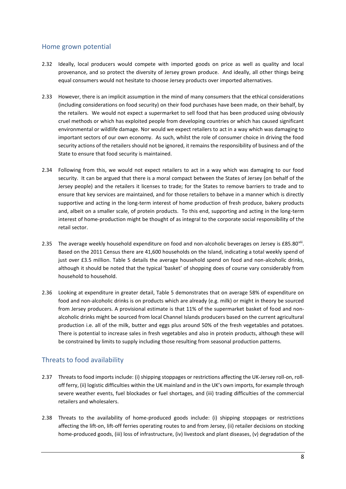#### <span id="page-10-0"></span>Home grown potential

- 2.32 Ideally, local producers would compete with imported goods on price as well as quality and local provenance, and so protect the diversity of Jersey grown produce. And ideally, all other things being equal consumers would not hesitate to choose Jersey products over imported alternatives.
- 2.33 However, there is an implicit assumption in the mind of many consumers that the ethical considerations (including considerations on food security) on their food purchases have been made, on their behalf, by the retailers. We would not expect a supermarket to sell food that has been produced using obviously cruel methods or which has exploited people from developing countries or which has caused significant environmental or wildlife damage. Nor would we expect retailers to act in a way which was damaging to important sectors of our own economy. As such, whilst the role of consumer choice in driving the food security actions of the retailers should not be ignored, it remains the responsibility of business and of the State to ensure that food security is maintained.
- 2.34 Following from this, we would not expect retailers to act in a way which was damaging to our food security. It can be argued that there is a moral compact between the States of Jersey (on behalf of the Jersey people) and the retailers it licenses to trade; for the States to remove barriers to trade and to ensure that key services are maintained, and for those retailers to behave in a manner which is directly supportive and acting in the long-term interest of home production of fresh produce, bakery products and, albeit on a smaller scale, of protein products. To this end, supporting and acting in the long-term interest of home-production might be thought of as integral to the corporate social responsibility of the retail sector.
- 2.35 The average weekly household expenditure on food and non-alcoholic beverages on Jersey is £85.80<sup>viii</sup>. Based on the 2011 Census there are 41,600 households on the Island, indicating a total weekly spend of just over £3.5 million. Table 5 details the average household spend on food and non-alcoholic drinks, although it should be noted that the typical 'basket' of shopping does of course vary considerably from household to household.
- 2.36 Looking at expenditure in greater detail, Table 5 demonstrates that on average 58% of expenditure on food and non-alcoholic drinks is on products which are already (e.g. milk) or might in theory be sourced from Jersey producers. A provisional estimate is that 11% of the supermarket basket of food and nonalcoholic drinks might be sourced from local Channel Islands producers based on the current agricultural production i.e. all of the milk, butter and eggs plus around 50% of the fresh vegetables and potatoes. There is potential to increase sales in fresh vegetables and also in protein products, although these will be constrained by limits to supply including those resulting from seasonal production patterns.

#### <span id="page-10-1"></span>Threats to food availability

- 2.37 Threats to food imports include: (i) shipping stoppages or restrictions affecting the UK-Jersey roll-on, rolloff ferry, (ii) logistic difficulties within the UK mainland and in the UK's own imports, for example through severe weather events, fuel blockades or fuel shortages, and (iii) trading difficulties of the commercial retailers and wholesalers.
- 2.38 Threats to the availability of home-produced goods include: (i) shipping stoppages or restrictions affecting the lift-on, lift-off ferries operating routes to and from Jersey, (ii) retailer decisions on stocking home-produced goods, (iii) loss of infrastructure, (iv) livestock and plant diseases, (v) degradation of the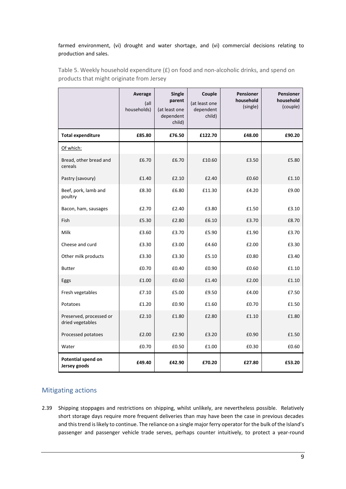#### farmed environment, (vi) drought and water shortage, and (vi) commercial decisions relating to production and sales.

|                                             | Average<br>(all<br>households) | <b>Single</b><br>parent<br>(at least one<br>dependent<br>child) | Couple<br>(at least one<br>dependent<br>child) | <b>Pensioner</b><br>household<br>(single) | <b>Pensioner</b><br>household<br>(couple) |
|---------------------------------------------|--------------------------------|-----------------------------------------------------------------|------------------------------------------------|-------------------------------------------|-------------------------------------------|
| <b>Total expenditure</b>                    | £85.80                         | £76.50                                                          | £122.70                                        | £48.00                                    | £90.20                                    |
| Of which:                                   |                                |                                                                 |                                                |                                           |                                           |
| Bread, other bread and<br>cereals           | £6.70                          | £6.70                                                           | £10.60                                         | £3.50                                     | £5.80                                     |
| Pastry (savoury)                            | £1.40                          | £2.10                                                           | £2.40                                          | £0.60                                     | £1.10                                     |
| Beef, pork, lamb and<br>poultry             | £8.30                          | £6.80                                                           | £11.30                                         | £4.20                                     | £9.00                                     |
| Bacon, ham, sausages                        | £2.70                          | £2.40                                                           | £3.80                                          | £1.50                                     | £3.10                                     |
| Fish                                        | £5.30                          | £2.80                                                           | £6.10                                          | £3.70                                     | £8.70                                     |
| Milk                                        | £3.60                          | £3.70                                                           | £5.90                                          | £1.90                                     | £3.70                                     |
| Cheese and curd                             | £3.30                          | £3.00                                                           | £4.60                                          | £2.00                                     | £3.30                                     |
| Other milk products                         | £3.30                          | £3.30                                                           | £5.10                                          | £0.80                                     | £3.40                                     |
| <b>Butter</b>                               | £0.70                          | £0.40                                                           | £0.90                                          | £0.60                                     | £1.10                                     |
| Eggs                                        | £1.00                          | £0.60                                                           | £1.40                                          | £2.00                                     | £1.10                                     |
| Fresh vegetables                            | £7.10                          | £5.00                                                           | £9.50                                          | £4.00                                     | £7.50                                     |
| Potatoes                                    | £1.20                          | £0.90                                                           | £1.60                                          | £0.70                                     | £1.50                                     |
| Preserved, processed or<br>dried vegetables | £2.10                          | £1.80                                                           | £2.80                                          | £1.10                                     | £1.80                                     |
| Processed potatoes                          | £2.00                          | £2.90                                                           | £3.20                                          | £0.90                                     | £1.50                                     |
| Water                                       | £0.70                          | £0.50                                                           | £1.00                                          | £0.30                                     | £0.60                                     |
| Potential spend on<br>Jersey goods          | £49.40                         | £42.90                                                          | £70.20                                         | £27.80                                    | £53.20                                    |

Table 5. Weekly household expenditure (£) on food and non-alcoholic drinks, and spend on products that might originate from Jersey

## <span id="page-11-0"></span>Mitigating actions

2.39 Shipping stoppages and restrictions on shipping, whilst unlikely, are nevertheless possible. Relatively short storage days require more frequent deliveries than may have been the case in previous decades and this trend is likely to continue. The reliance on a single major ferry operator for the bulk of the Island's passenger and passenger vehicle trade serves, perhaps counter intuitively, to protect a year-round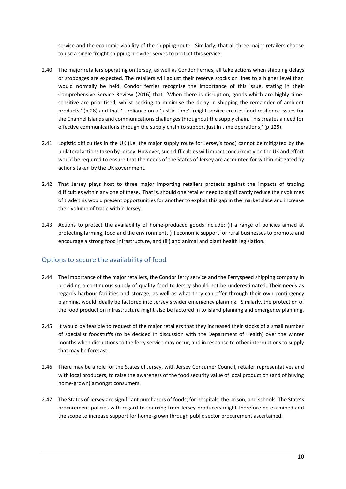service and the economic viability of the shipping route. Similarly, that all three major retailers choose to use a single freight shipping provider serves to protect this service.

- 2.40 The major retailers operating on Jersey, as well as Condor Ferries, all take actions when shipping delays or stoppages are expected. The retailers will adjust their reserve stocks on lines to a higher level than would normally be held. Condor ferries recognise the importance of this issue, stating in their Comprehensive Service Review (2016) that, 'When there is disruption, goods which are highly timesensitive are prioritised, whilst seeking to minimise the delay in shipping the remainder of ambient products,' (p.28) and that '… reliance on a 'just in time' freight service creates food resilience issues for the Channel Islands and communications challenges throughout the supply chain. This creates a need for effective communications through the supply chain to support just in time operations,' (p.125).
- 2.41 Logistic difficulties in the UK (i.e. the major supply route for Jersey's food) cannot be mitigated by the unilateral actions taken by Jersey. However, such difficulties will impact concurrently on the UK and effort would be required to ensure that the needs of the States of Jersey are accounted for within mitigated by actions taken by the UK government.
- 2.42 That Jersey plays host to three major importing retailers protects against the impacts of trading difficulties within any one of these. That is, should one retailer need to significantly reduce their volumes of trade this would present opportunities for another to exploit this gap in the marketplace and increase their volume of trade within Jersey.
- 2.43 Actions to protect the availability of home-produced goods include: (i) a range of policies aimed at protecting farming, food and the environment, (ii) economic support for rural businesses to promote and encourage a strong food infrastructure, and (iii) and animal and plant health legislation.

#### <span id="page-12-0"></span>Options to secure the availability of food

- 2.44 The importance of the major retailers, the Condor ferry service and the Ferryspeed shipping company in providing a continuous supply of quality food to Jersey should not be underestimated. Their needs as regards harbour facilities and storage, as well as what they can offer through their own contingency planning, would ideally be factored into Jersey's wider emergency planning. Similarly, the protection of the food production infrastructure might also be factored in to Island planning and emergency planning.
- 2.45 It would be feasible to request of the major retailers that they increased their stocks of a small number of specialist foodstuffs (to be decided in discussion with the Department of Health) over the winter months when disruptions to the ferry service may occur, and in response to other interruptions to supply that may be forecast.
- 2.46 There may be a role for the States of Jersey, with Jersey Consumer Council, retailer representatives and with local producers, to raise the awareness of the food security value of local production (and of buying home-grown) amongst consumers.
- 2.47 The States of Jersey are significant purchasers of foods; for hospitals, the prison, and schools. The State's procurement policies with regard to sourcing from Jersey producers might therefore be examined and the scope to increase support for home-grown through public sector procurement ascertained.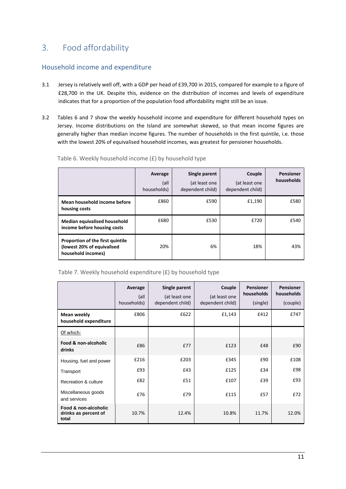## <span id="page-13-0"></span>3. Food affordability

#### <span id="page-13-1"></span>Household income and expenditure

- 3.1 Jersey is relatively well off, with a GDP per head of £39,700 in 2015, compared for example to a figure of £28,700 in the UK. Despite this, evidence on the distribution of incomes and levels of expenditure indicates that for a proportion of the population food affordability might still be an issue.
- 3.2 Tables 6 and 7 show the weekly household income and expenditure for different household types on Jersey. Income distributions on the Island are somewhat skewed, so that mean income figures are generally higher than median income figures. The number of households in the first quintile, i.e. those with the lowest 20% of equivalised household incomes, was greatest for pensioner households.

|                                                                                      | Average<br>(all<br>households) | Single parent<br>(at least one<br>dependent child) | Couple<br>(at least one<br>dependent child) | <b>Pensioner</b><br>households |
|--------------------------------------------------------------------------------------|--------------------------------|----------------------------------------------------|---------------------------------------------|--------------------------------|
| Mean household income before<br>housing costs                                        | £860                           | £590                                               | £1,190                                      | £580                           |
| Median equivalised household<br>income before housing costs                          | £680                           | £530                                               | £720                                        | £540                           |
| Proportion of the first quintile<br>(lowest 20% of equivalised<br>household incomes) | 20%                            | 6%                                                 | 18%                                         | 43%                            |

Table 6. Weekly household income (£) by household type

|  |  |  |  |  | Table 7. Weekly household expenditure (£) by household type |  |
|--|--|--|--|--|-------------------------------------------------------------|--|
|--|--|--|--|--|-------------------------------------------------------------|--|

|                                                       | Average<br>(all<br>households) | Single parent<br>(at least one<br>dependent child) | Couple<br>(at least one<br>dependent child) | <b>Pensioner</b><br>households<br>(single) | <b>Pensioner</b><br>households<br>(couple) |
|-------------------------------------------------------|--------------------------------|----------------------------------------------------|---------------------------------------------|--------------------------------------------|--------------------------------------------|
| Mean weekly<br>household expenditure                  | £806                           | £622                                               | £1,143                                      | £412                                       | £747                                       |
| Of which:                                             |                                |                                                    |                                             |                                            |                                            |
| Food & non-alcoholic<br>drinks                        | £86                            | E77                                                | £123                                        | £48                                        | £90                                        |
| Housing, fuel and power                               | £216                           | £203                                               | £345                                        | £90                                        | £108                                       |
| Transport                                             | £93                            | £43                                                | £125                                        | £34                                        | £98                                        |
| Recreation & culture                                  | £82                            | £51                                                | £107                                        | £39                                        | £93                                        |
| Miscellaneous goods<br>and services                   | £76                            | £79                                                | £115                                        | £57                                        | £72                                        |
| Food & non-alcoholic<br>drinks as percent of<br>total | 10.7%                          | 12.4%                                              | 10.8%                                       | 11.7%                                      | 12.0%                                      |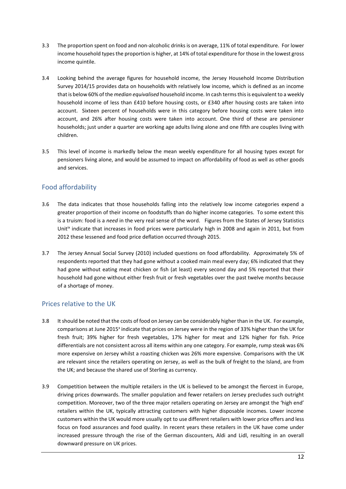- 3.3 The proportion spent on food and non-alcoholic drinks is on average, 11% of total expenditure. For lower income household types the proportion is higher, at 14% of total expenditure for those in the lowest gross income quintile.
- 3.4 Looking behind the average figures for household income, the Jersey Household Income Distribution Survey 2014/15 provides data on households with relatively low income, which is defined as an income that is below 60% of the *median equivalised* household income. In cash terms this is equivalent to a weekly household income of less than £410 before housing costs, or £340 after housing costs are taken into account. Sixteen percent of households were in this category before housing costs were taken into account, and 26% after housing costs were taken into account. One third of these are pensioner households; just under a quarter are working age adults living alone and one fifth are couples living with children.
- 3.5 This level of income is markedly below the mean weekly expenditure for all housing types except for pensioners living alone, and would be assumed to impact on affordability of food as well as other goods and services.

## <span id="page-14-0"></span>Food affordability

- 3.6 The data indicates that those households falling into the relatively low income categories expend a greater proportion of their income on foodstuffs than do higher income categories. To some extent this is a truism: food is a *need* in the very real sense of the word. Figures from the States of Jersey Statistics Unit<sup>ix</sup> indicate that increases in food prices were particularly high in 2008 and again in 2011, but from 2012 these lessened and food price deflation occurred through 2015.
- 3.7 The Jersey Annual Social Survey (2010) included questions on food affordability. Approximately 5% of respondents reported that they had gone without a cooked main meal every day; 6% indicated that they had gone without eating meat chicken or fish (at least) every second day and 5% reported that their household had gone without either fresh fruit or fresh vegetables over the past twelve months because of a shortage of money.

## <span id="page-14-1"></span>Prices relative to the UK

- 3.8 It should be noted that the costs of food on Jersey can be considerably higher than in the UK. For example, comparisons at June 2015<sup>x</sup> indicate that prices on Jersey were in the region of 33% higher than the UK for fresh fruit; 39% higher for fresh vegetables, 17% higher for meat and 12% higher for fish. Price differentials are not consistent across all items within any one category. For example, rump steak was 6% more expensive on Jersey whilst a roasting chicken was 26% more expensive. Comparisons with the UK are relevant since the retailers operating on Jersey, as well as the bulk of freight to the Island, are from the UK; and because the shared use of Sterling as currency.
- 3.9 Competition between the multiple retailers in the UK is believed to be amongst the fiercest in Europe, driving prices downwards. The smaller population and fewer retailers on Jersey precludes such outright competition. Moreover, two of the three major retailers operating on Jersey are amongst the 'high end' retailers within the UK, typically attracting customers with higher disposable incomes. Lower income customers within the UK would more usually opt to use different retailers with lower price offers and less focus on food assurances and food quality. In recent years these retailers in the UK have come under increased pressure through the rise of the German discounters, Aldi and Lidl, resulting in an overall downward pressure on UK prices.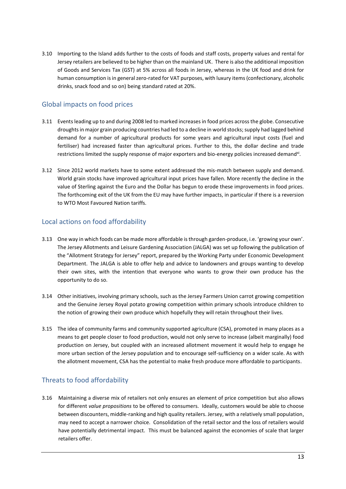3.10 Importing to the Island adds further to the costs of foods and staff costs, property values and rental for Jersey retailers are believed to be higher than on the mainland UK. There is also the additional imposition of Goods and Services Tax (GST) at 5% across all foods in Jersey, whereas in the UK food and drink for human consumption is in general zero-rated for VAT purposes, with luxury items (confectionary, alcoholic drinks, snack food and so on) being standard rated at 20%.

### <span id="page-15-0"></span>Global impacts on food prices

- 3.11 Events leading up to and during 2008 led to marked increases in food prices across the globe. Consecutive droughts in major grain producing countries had led to a decline in world stocks; supply had lagged behind demand for a number of agricultural products for some years and agricultural input costs (fuel and fertiliser) had increased faster than agricultural prices. Further to this, the dollar decline and trade restrictions limited the supply response of major exporters and bio-energy policies increased demand<sup>xi</sup>.
- 3.12 Since 2012 world markets have to some extent addressed the mis-match between supply and demand. World grain stocks have improved agricultural input prices have fallen. More recently the decline in the value of Sterling against the Euro and the Dollar has begun to erode these improvements in food prices. The forthcoming exit of the UK from the EU may have further impacts, in particular if there is a reversion to WTO Most Favoured Nation tariffs.

### <span id="page-15-1"></span>Local actions on food affordability

- 3.13 One way in which foods can be made more affordable is through garden-produce, i.e. 'growing your own'. The Jersey Allotments and Leisure Gardening Association (JALGA) was set up following the publication of the "Allotment Strategy for Jersey" report, prepared by the Working Party under Economic Development Department. The JALGA is able to offer help and advice to landowners and groups wanting to develop their own sites, with the intention that everyone who wants to grow their own produce has the opportunity to do so.
- 3.14 Other initiatives, involving primary schools, such as the Jersey Farmers Union carrot growing competition and the Genuine Jersey Royal potato growing competition within primary schools introduce children to the notion of growing their own produce which hopefully they will retain throughout their lives.
- 3.15 The idea of community farms and community supported agriculture (CSA), promoted in many places as a means to get people closer to food production, would not only serve to increase (albeit marginally) food production on Jersey, but coupled with an increased allotment movement it would help to engage he more urban section of the Jersey population and to encourage self-sufficiency on a wider scale. As with the allotment movement, CSA has the potential to make fresh produce more affordable to participants.

## <span id="page-15-2"></span>Threats to food affordability

3.16 Maintaining a diverse mix of retailers not only ensures an element of price competition but also allows for different *value propositions* to be offered to consumers. Ideally, customers would be able to choose between discounters, middle-ranking and high quality retailers. Jersey, with a relatively small population, may need to accept a narrower choice. Consolidation of the retail sector and the loss of retailers would have potentially detrimental impact. This must be balanced against the economies of scale that larger retailers offer.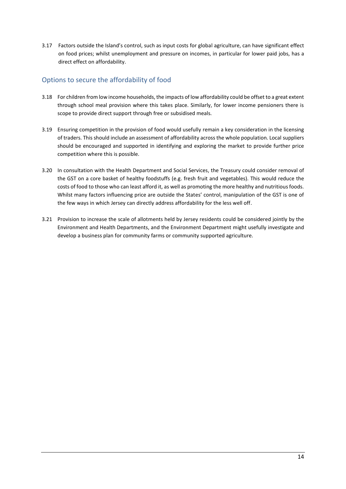3.17 Factors outside the Island's control, such as input costs for global agriculture, can have significant effect on food prices; whilst unemployment and pressure on incomes, in particular for lower paid jobs, has a direct effect on affordability.

## <span id="page-16-0"></span>Options to secure the affordability of food

- 3.18 For children from low income households, the impacts of low affordability could be offset to a great extent through school meal provision where this takes place. Similarly, for lower income pensioners there is scope to provide direct support through free or subsidised meals.
- 3.19 Ensuring competition in the provision of food would usefully remain a key consideration in the licensing of traders. This should include an assessment of affordability across the whole population. Local suppliers should be encouraged and supported in identifying and exploring the market to provide further price competition where this is possible.
- 3.20 In consultation with the Health Department and Social Services, the Treasury could consider removal of the GST on a core basket of healthy foodstuffs (e.g. fresh fruit and vegetables). This would reduce the costs of food to those who can least afford it, as well as promoting the more healthy and nutritious foods. Whilst many factors influencing price are outside the States' control, manipulation of the GST is one of the few ways in which Jersey can directly address affordability for the less well off.
- 3.21 Provision to increase the scale of allotments held by Jersey residents could be considered jointly by the Environment and Health Departments, and the Environment Department might usefully investigate and develop a business plan for community farms or community supported agriculture.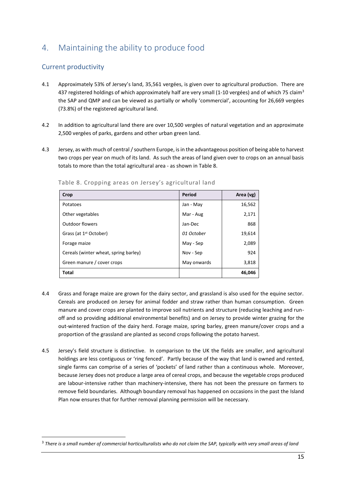# <span id="page-17-0"></span>4. Maintaining the ability to produce food

## <span id="page-17-1"></span>Current productivity

**.** 

- 4.1 Approximately 53% of Jersey's land, 35,561 vergées, is given over to agricultural production. There are 437 registered holdings of which approximately half are very small (1-10 vergées) and of which 75 claim<sup>3</sup> the SAP and QMP and can be viewed as partially or wholly 'commercial', accounting for 26,669 vergées (73.8%) of the registered agricultural land.
- 4.2 In addition to agricultural land there are over 10,500 vergées of natural vegetation and an approximate 2,500 vergées of parks, gardens and other urban green land.
- 4.3 Jersey, as with much of central / southern Europe, is in the advantageous position of being able to harvest two crops per year on much of its land. As such the areas of land given over to crops on an annual basis totals to more than the total agricultural area - as shown in Table 8.

| Crop                                  | Period      | Area (vg) |
|---------------------------------------|-------------|-----------|
| Potatoes                              | Jan - May   | 16,562    |
| Other vegetables                      | Mar - Aug   | 2,171     |
| <b>Outdoor flowers</b>                | Jan-Dec     | 868       |
| Grass (at 1 <sup>st</sup> October)    | 01 October  | 19,614    |
| Forage maize                          | May - Sep   | 2,089     |
| Cereals (winter wheat, spring barley) | Nov - Sep   | 924       |
| Green manure / cover crops            | May onwards | 3,818     |
| <b>Total</b>                          |             | 46,046    |

Table 8. Cropping areas on Jersey's agricultural land

- 4.4 Grass and forage maize are grown for the dairy sector, and grassland is also used for the equine sector. Cereals are produced on Jersey for animal fodder and straw rather than human consumption. Green manure and cover crops are planted to improve soil nutrients and structure (reducing leaching and runoff and so providing additional environmental benefits) and on Jersey to provide winter grazing for the out-wintered fraction of the dairy herd. Forage maize, spring barley, green manure/cover crops and a proportion of the grassland are planted as second crops following the potato harvest.
- 4.5 Jersey's field structure is distinctive. In comparison to the UK the fields are smaller, and agricultural holdings are less contiguous or 'ring fenced'. Partly because of the way that land is owned and rented, single farms can comprise of a series of 'pockets' of land rather than a continuous whole. Moreover, because Jersey does not produce a large area of cereal crops, and because the vegetable crops produced are labour-intensive rather than machinery-intensive, there has not been the pressure on farmers to remove field boundaries. Although boundary removal has happened on occasions in the past the Island Plan now ensures that for further removal planning permission will be necessary.

<sup>3</sup> *There is a small number of commercial horticulturalists who do not claim the SAP, typically with very small areas of land*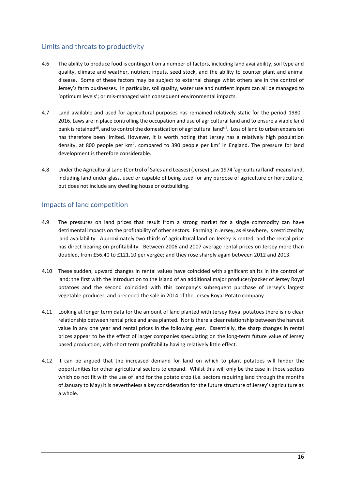## <span id="page-18-0"></span>Limits and threats to productivity

- 4.6 The ability to produce food is contingent on a number of factors, including land availability, soil type and quality, climate and weather, nutrient inputs, seed stock, and the ability to counter plant and animal disease. Some of these factors may be subject to external change whist others are in the control of Jersey's farm businesses. In particular, soil quality, water use and nutrient inputs can all be managed to 'optimum levels'; or mis-managed with consequent environmental impacts.
- 4.7 Land available and used for agricultural purposes has remained relatively static for the period 1980 2016. Laws are in place controlling the occupation and use of agricultural land and to ensure a viable land bank is retained<sup>xii</sup>, and to control the domestication of agricultural land<sup>xiii</sup>. Loss of land to urban expansion has therefore been limited. However, it is worth noting that Jersey has a relatively high population density, at 800 people per km<sup>2</sup>, compared to 390 people per km<sup>2</sup> in England. The pressure for land development is therefore considerable.
- 4.8 Under the Agricultural Land (Control of Sales and Leases) (Jersey) Law 1974 'agricultural land' means land, including land under glass, used or capable of being used for any purpose of agriculture or horticulture, but does not include any dwelling house or outbuilding.

#### <span id="page-18-1"></span>Impacts of land competition

- 4.9 The pressures on land prices that result from a strong market for a single commodity can have detrimental impacts on the profitability of other sectors. Farming in Jersey, as elsewhere, is restricted by land availability. Approximately two thirds of agricultural land on Jersey is rented, and the rental price has direct bearing on profitability. Between 2006 and 2007 average rental prices on Jersey more than doubled, from £56.40 to £121.10 per vergée; and they rose sharply again between 2012 and 2013.
- 4.10 These sudden, upward changes in rental values have coincided with significant shifts in the control of land: the first with the introduction to the Island of an additional major producer/packer of Jersey Royal potatoes and the second coincided with this company's subsequent purchase of Jersey's largest vegetable producer, and preceded the sale in 2014 of the Jersey Royal Potato company.
- 4.11 Looking at longer term data for the amount of land planted with Jersey Royal potatoes there is no clear relationship between rental price and area planted. Nor is there a clear relationship between the harvest value in any one year and rental prices in the following year. Essentially, the sharp changes in rental prices appear to be the effect of larger companies speculating on the long-term future value of Jersey based production; with short term profitability having relatively little effect.
- 4.12 It can be argued that the increased demand for land on which to plant potatoes will hinder the opportunities for other agricultural sectors to expand. Whilst this will only be the case in those sectors which do not fit with the use of land for the potato crop (i.e. sectors requiring land through the months of January to May) it is nevertheless a key consideration for the future structure of Jersey's agriculture as a whole.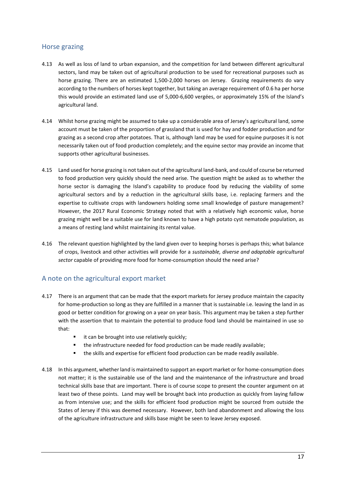#### <span id="page-19-0"></span>Horse grazing

- 4.13 As well as loss of land to urban expansion, and the competition for land between different agricultural sectors, land may be taken out of agricultural production to be used for recreational purposes such as horse grazing. There are an estimated 1,500-2,000 horses on Jersey. Grazing requirements do vary according to the numbers of horses kept together, but taking an average requirement of 0.6 ha per horse this would provide an estimated land use of 5,000-6,600 vergées, or approximately 15% of the Island's agricultural land.
- 4.14 Whilst horse grazing might be assumed to take up a considerable area of Jersey's agricultural land, some account must be taken of the proportion of grassland that is used for hay and fodder production and for grazing as a second crop after potatoes. That is, although land may be used for equine purposes it is not necessarily taken out of food production completely; and the equine sector may provide an income that supports other agricultural businesses.
- 4.15 Land used for horse grazing is not taken out of the agricultural land-bank, and could of course be returned to food production very quickly should the need arise. The question might be asked as to whether the horse sector is damaging the Island's capability to produce food by reducing the viability of some agricultural sectors and by a reduction in the agricultural skills base, i.e. replacing farmers and the expertise to cultivate crops with landowners holding some small knowledge of pasture management? However, the 2017 Rural Economic Strategy noted that with a relatively high economic value, horse grazing might well be a suitable use for land known to have a high potato cyst nematode population, as a means of resting land whilst maintaining its rental value.
- 4.16 The relevant question highlighted by the land given over to keeping horses is perhaps this; what balance of crops, livestock and other activities will provide for a *sustainable, diverse and adaptable agricultural sector* capable of providing more food for home-consumption should the need arise?

#### <span id="page-19-1"></span>A note on the agricultural export market

- 4.17 There is an argument that can be made that the export markets for Jersey produce maintain the capacity for home-production so long as they are fulfilled in a manner that is sustainable i.e. leaving the land in as good or better condition for growing on a year on year basis. This argument may be taken a step further with the assertion that to maintain the potential to produce food land should be maintained in use so that:
	- it can be brought into use relatively quickly;
	- the infrastructure needed for food production can be made readily available;
	- the skills and expertise for efficient food production can be made readily available.
- 4.18 In this argument, whether land is maintained to support an export market or for home-consumption does not matter; it is the sustainable use of the land and the maintenance of the infrastructure and broad technical skills base that are important. There is of course scope to present the counter argument on at least two of these points. Land may well be brought back into production as quickly from laying fallow as from intensive use; and the skills for efficient food production might be sourced from outside the States of Jersey if this was deemed necessary. However, both land abandonment and allowing the loss of the agriculture infrastructure and skills base might be seen to leave Jersey exposed.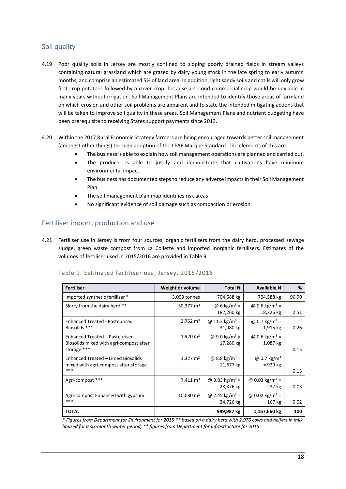## <span id="page-20-0"></span>Soil quality

- 4.19 Poor quality soils in Jersey are mostly confined to sloping poorly drained fields in stream valleys containing natural grassland which are grazed by dairy young stock in the late spring to early autumn months, and comprise an estimated 5% of land area. In addition, light sandy soils and cotils will only grow first crop potatoes followed by a cover crop, because a second commercial crop would be unviable in many years without irrigation. Soil Management Plans are intended to identify those areas of farmland on which erosion and other soil problems are apparent and to state the intended mitigating actions that will be taken to improve soil quality in these areas. Soil Management Plans and nutrient budgeting have been prerequisite to receiving States support payments since 2013.
- 4.20 Within the 2017 Rural Economic Strategy farmers are being encouraged towards better soil management (amongst other things) through adoption of the LEAF Marque Standard. The elements of this are:
	- The business is able to explain how soil management operations are planned and carried out.
	- The producer is able to justify and demonstrate that cultivations have minimum environmental impact.
	- The business has documented steps to reduce any adverse impacts in their Soil Management Plan.
	- The soil management plan map identifies risk areas
	- No significant evidence of soil damage such as compaction or erosion.

#### <span id="page-20-1"></span>Fertiliser import, production and use

4.21 Fertiliser use in Jersey is from four sources; organic fertilisers from the dairy herd, processed sewage sludge, green waste compost from La Collette and imported inorganic fertilisers. Estimates of the volumes of fertiliser used in 2015/2016 are provided in Table 9.

| <b>Fertiliser</b>                                                                        | <b>Weight or volume</b> | <b>Total N</b>                          | <b>Available N</b>                     | %     |
|------------------------------------------------------------------------------------------|-------------------------|-----------------------------------------|----------------------------------------|-------|
| Imported synthetic fertiliser *                                                          | 3,003 tonnes            | 704,588 kg                              | 704,588 kg                             | 96.90 |
| Slurry from the dairy herd **                                                            | $30,377 \text{ m}^3$    | @ 6 kg/m <sup>3</sup> =<br>182,260 kg   | @ 0.6 kg/m <sup>3</sup> =<br>18,226 kg | 2.51  |
| <b>Enhanced Treated - Pasteurised</b><br>Biosolids ***                                   | $2,752 \text{ m}^3$     | @ 11.3 kg/m <sup>3</sup> =<br>31,080 kg | @ 0.7 kg/m <sup>3</sup> =<br>1,915 kg  | 0.26  |
| Enhanced Treated - Pasteurised<br>Biosolids mixed with agri-compost after<br>storage *** | $1,920 \text{ m}^3$     | @ 9.0 kg/m <sup>3</sup> =<br>17,280 kg  | @ 0.6 kg/m <sup>3</sup> =<br>1,087 kg  | 0.15  |
| Enhanced Treated - Limed Biosolids<br>mixed with agri-compost after storage<br>***       | $1,327 \text{ m}^3$     | @ 8.8 kg/m <sup>3</sup> =<br>11,677 kg  | @ 0.7 $\text{kg/m}^3$<br>$= 929$ kg    | 0.13  |
| Agri-compost ***                                                                         | $7,411 \text{ m}^3$     | @ 3.83 kg/m <sup>3</sup> =<br>28,376 kg | @ 0.03 kg/m <sup>3</sup> =<br>237 kg   | 0.03  |
| Agri-compost Enhanced with gypsum<br>***                                                 | $10,080 \text{ m}^3$    | @ 2.45 kg/m <sup>3</sup> =<br>24,726 kg | @ 0.02 kg/m <sup>3</sup> =<br>167 kg   | 0.02  |
| <b>TOTAL</b>                                                                             |                         | 999,987 kg                              | 1,167,660 kg                           | 100   |

#### Table 9. Estimated fertiliser use, Jersey, 2015/2016

*\* Figures from Department for Environment for 2015 \*\* based on a dairy herd with 2,970 cows and heifers in milk, housed for a six-month winter period; \*\* figures from Department for Infrastructure for 2016*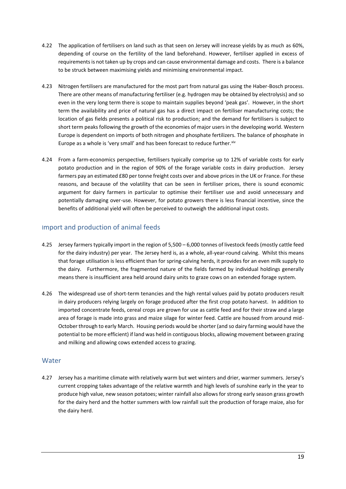- 4.22 The application of fertilisers on land such as that seen on Jersey will increase yields by as much as 60%, depending of course on the fertility of the land beforehand. However, fertiliser applied in excess of requirements is not taken up by crops and can cause environmental damage and costs. There is a balance to be struck between maximising yields and minimising environmental impact.
- 4.23 Nitrogen fertilisers are manufactured for the most part from natural gas using the Haber-Bosch process. There are other means of manufacturing fertiliser (e.g. hydrogen may be obtained by electrolysis) and so even in the very long term there is scope to maintain supplies beyond 'peak gas'. However, in the short term the availability and price of natural gas has a direct impact on fertiliser manufacturing costs; the location of gas fields presents a political risk to production; and the demand for fertilisers is subject to short term peaks following the growth of the economies of major users in the developing world. Western Europe is dependent on imports of both nitrogen and phosphate fertilizers. The balance of phosphate in Europe as a whole is 'very small' and has been forecast to reduce further. xiv
- 4.24 From a farm-economics perspective, fertilisers typically comprise up to 12% of variable costs for early potato production and in the region of 90% of the forage variable costs in dairy production. Jersey farmers pay an estimated £80 per tonne freight costs over and above prices in the UK or France. For these reasons, and because of the volatility that can be seen in fertiliser prices, there is sound economic argument for dairy farmers in particular to optimise their fertiliser use and avoid unnecessary and potentially damaging over-use. However, for potato growers there is less financial incentive, since the benefits of additional yield will often be perceived to outweigh the additional input costs.

### <span id="page-21-0"></span>Import and production of animal feeds

- 4.25 Jersey farmers typically import in the region of 5,500 6,000 tonnes of livestock feeds (mostly cattle feed for the dairy industry) per year. The Jersey herd is, as a whole, all-year-round calving. Whilst this means that forage utilisation is less efficient than for spring-calving herds, it provides for an even milk supply to the dairy. Furthermore, the fragmented nature of the fields farmed by individual holdings generally means there is insufficient area held around dairy units to graze cows on an extended forage system.
- 4.26 The widespread use of short-term tenancies and the high rental values paid by potato producers result in dairy producers relying largely on forage produced after the first crop potato harvest. In addition to imported concentrate feeds, cereal crops are grown for use as cattle feed and for their straw and a large area of forage is made into grass and maize silage for winter feed. Cattle are housed from around mid-October through to early March. Housing periods would be shorter (and so dairy farming would have the potential to be more efficient) if land was held in contiguous blocks, allowing movement between grazing and milking and allowing cows extended access to grazing.

#### <span id="page-21-1"></span>**Water**

4.27 Jersey has a maritime climate with relatively warm but wet winters and drier, warmer summers. Jersey's current cropping takes advantage of the relative warmth and high levels of sunshine early in the year to produce high value, new season potatoes; winter rainfall also allows for strong early season grass growth for the dairy herd and the hotter summers with low rainfall suit the production of forage maize, also for the dairy herd.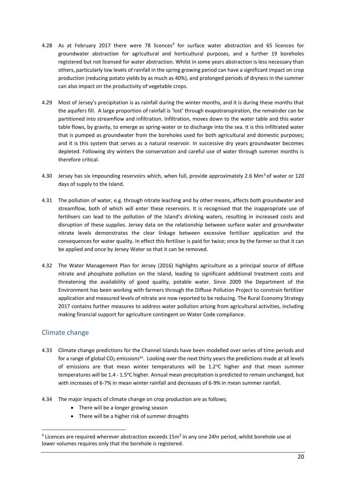- 4.28 As at February 2017 there were 78 licences<sup>4</sup> for surface water abstraction and 65 licences for groundwater abstraction for agricultural and horticultural purposes, and a further 19 boreholes registered but not licensed for water abstraction. Whilst in some years abstraction is less necessary than others, particularly low levels of rainfall in the spring growing period can have a significant impact on crop production (reducing potato yields by as much as 40%), and prolonged periods of dryness in the summer can also impact on the productivity of vegetable crops.
- 4.29 Most of Jersey's precipitation is as rainfall during the winter months, and it is during these months that the aquifers fill. A large proportion of rainfall is 'lost' through evapotranspiration, the remainder can be partitioned into streamflow and infiltration. Infiltration, moves down to the water table and this water table flows, by gravity, to emerge as spring-water or to discharge into the sea. It is this infiltrated water that is pumped as groundwater from the boreholes used for both agricultural and domestic purposes; and it is this system that serves as a natural reservoir. In successive dry years groundwater becomes depleted. Following dry winters the conservation and careful use of water through summer months is therefore critical.
- 4.30 Jersey has six impounding reservoirs which, when full, provide approximately 2.6 Mm<sup>3</sup> of water or 120 days of supply to the Island.
- 4.31 The pollution of water, e.g. through nitrate leaching and by other means, affects both groundwater and streamflow, both of which will enter these reservoirs. It is recognised that the inappropriate use of fertilisers can lead to the pollution of the Island's drinking waters, resulting in increased costs and disruption of these supplies. Jersey data on the relationship between surface water and groundwater nitrate levels demonstrates the clear linkage between excessive fertiliser application and the consequences for water quality. In effect this fertiliser is paid for twice; once by the farmer so that it can be applied and once by Jersey Water so that it can be removed.
- 4.32 The Water Management Plan for Jersey (2016) highlights agriculture as a principal source of diffuse nitrate and phosphate pollution on the Island, leading to significant additional treatment costs and threatening the availability of good quality, potable water. Since 2009 the Department of the Environment has been working with farmers through the Diffuse Pollution Project to constrain fertilizer application and measured levels of nitrate are now reported to be reducing. The Rural Economy Strategy 2017 contains further measures to address water pollution arising from agricultural activities, including making financial support for agriculture contingent on Water Code compliance.

## <span id="page-22-0"></span>Climate change

**.** 

- 4.33 Climate change predictions for the Channel Islands have been modelled over series of time periods and for a range of global  $CO_2$  emissions<sup>xv</sup>. Looking over the next thirty years the predictions made at all levels of emissions are that mean winter temperatures will be  $1.2^{\circ}$ C higher and that mean summer temperatures will be 1.4 - 1.5°C higher. Annual mean precipitation is predicted to remain unchanged, but with increases of 6-7% in mean winter rainfall and decreases of 6-9% in mean summer rainfall.
- 4.34 The major impacts of climate change on crop production are as follows;
	- There will be a longer growing season
	- There will be a higher risk of summer droughts

<sup>&</sup>lt;sup>4</sup> Licences are required wherever abstraction exceeds 15m<sup>3</sup> in any one 24hr period, whilst borehole use at lower volumes requires only that the borehole is registered.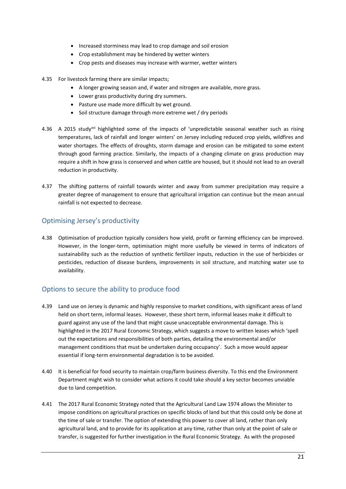- Increased storminess may lead to crop damage and soil erosion
- Crop establishment may be hindered by wetter winters
- Crop pests and diseases may increase with warmer, wetter winters
- 4.35 For livestock farming there are similar impacts;
	- A longer growing season and, if water and nitrogen are available, more grass.
	- Lower grass productivity during dry summers.
	- Pasture use made more difficult by wet ground.
	- Soil structure damage through more extreme wet / dry periods
- 4.36 A 2015 study<sup>xvi</sup> highlighted some of the impacts of 'unpredictable seasonal weather such as rising temperatures, lack of rainfall and longer winters' on Jersey including reduced crop yields, wildfires and water shortages. The effects of droughts, storm damage and erosion can be mitigated to some extent through good farming practice. Similarly, the impacts of a changing climate on grass production may require a shift in how grass is conserved and when cattle are housed, but it should not lead to an overall reduction in productivity.
- 4.37 The shifting patterns of rainfall towards winter and away from summer precipitation may require a greater degree of management to ensure that agricultural irrigation can continue but the mean annual rainfall is not expected to decrease.

## <span id="page-23-0"></span>Optimising Jersey's productivity

4.38 Optimisation of production typically considers how yield, profit or farming efficiency can be improved. However, in the longer-term, optimisation might more usefully be viewed in terms of indicators of sustainability such as the reduction of synthetic fertilizer inputs, reduction in the use of herbicides or pesticides, reduction of disease burdens, improvements in soil structure, and matching water use to availability.

## <span id="page-23-1"></span>Options to secure the ability to produce food

- 4.39 Land use on Jersey is dynamic and highly responsive to market conditions, with significant areas of land held on short term, informal leases. However, these short term, informal leases make it difficult to guard against any use of the land that might cause unacceptable environmental damage. This is highlighted in the 2017 Rural Economic Strategy, which suggests a move to written leases which 'spell out the expectations and responsibilities of both parties, detailing the environmental and/or management conditions that must be undertaken during occupancy'. Such a move would appear essential if long-term environmental degradation is to be avoided.
- 4.40 It is beneficial for food security to maintain crop/farm business diversity. To this end the Environment Department might wish to consider what actions it could take should a key sector becomes unviable due to land competition.
- 4.41 The 2017 Rural Economic Strategy noted that the Agricultural Land Law 1974 allows the Minister to impose conditions on agricultural practices on specific blocks of land but that this could only be done at the time of sale or transfer. The option of extending this power to cover all land, rather than only agricultural land, and to provide for its application at any time, rather than only at the point of sale or transfer, is suggested for further investigation in the Rural Economic Strategy. As with the proposed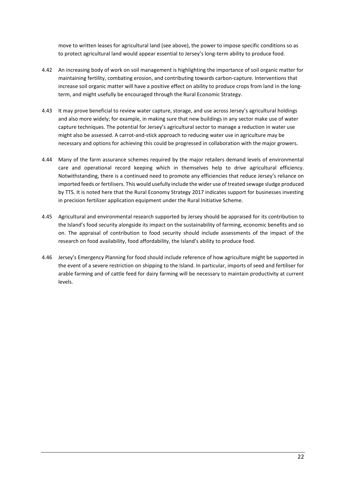move to written leases for agricultural land (see above), the power to impose specific conditions so as to protect agricultural land would appear essential to Jersey's long-term ability to produce food.

- 4.42 An increasing body of work on soil management is highlighting the importance of soil organic matter for maintaining fertility, combating erosion, and contributing towards carbon-capture. Interventions that increase soil organic matter will have a positive effect on ability to produce crops from land in the longterm, and might usefully be encouraged through the Rural Economic Strategy.
- 4.43 It may prove beneficial to review water capture, storage, and use across Jersey's agricultural holdings and also more widely; for example, in making sure that new buildings in any sector make use of water capture techniques. The potential for Jersey's agricultural sector to manage a reduction in water use might also be assessed. A carrot-and-stick approach to reducing water use in agriculture may be necessary and options for achieving this could be progressed in collaboration with the major growers.
- 4.44 Many of the farm assurance schemes required by the major retailers demand levels of environmental care and operational record keeping which in themselves help to drive agricultural efficiency. Notwithstanding, there is a continued need to promote any efficiencies that reduce Jersey's reliance on imported feeds or fertilisers. This would usefully include the wider use of treated sewage sludge produced by TTS. It is noted here that the Rural Economy Strategy 2017 indicates support for businesses investing in precision fertilizer application equipment under the Rural Initiative Scheme.
- 4.45 Agricultural and environmental research supported by Jersey should be appraised for its contribution to the Island's food security alongside its impact on the sustainability of farming, economic benefits and so on. The appraisal of contribution to food security should include assessments of the impact of the research on food availability, food affordability, the Island's ability to produce food.
- 4.46 Jersey's Emergency Planning for food should include reference of how agriculture might be supported in the event of a severe restriction on shipping to the Island. In particular, imports of seed and fertiliser for arable farming and of cattle feed for dairy farming will be necessary to maintain productivity at current levels.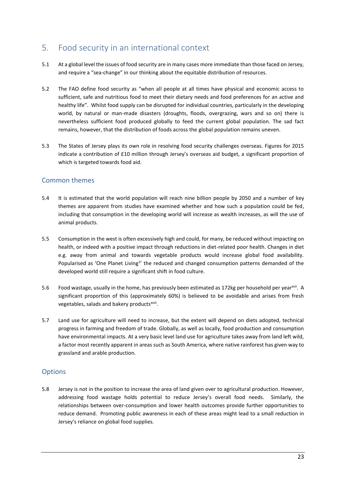## <span id="page-25-0"></span>5. Food security in an international context

- 5.1 At a global level the issues of food security are in many cases more immediate than those faced on Jersey, and require a "sea-change" in our thinking about the equitable distribution of resources.
- 5.2 The FAO define food security as "when all people at all times have physical and economic access to sufficient, safe and nutritious food to meet their dietary needs and food preferences for an active and healthy life". Whilst food supply can be disrupted for individual countries, particularly in the developing world, by natural or man-made disasters (droughts, floods, overgrazing, wars and so on) there is nevertheless sufficient food produced globally to feed the current global population. The sad fact remains, however, that the distribution of foods across the global population remains uneven.
- 5.3 The States of Jersey plays its own role in resolving food security challenges overseas. Figures for 2015 indicate a contribution of £10 million through Jersey's overseas aid budget, a significant proportion of which is targeted towards food aid.

#### <span id="page-25-1"></span>Common themes

- 5.4 It is estimated that the world population will reach nine billion people by 2050 and a number of key themes are apparent from studies have examined whether and how such a population could be fed, including that consumption in the developing world will increase as wealth increases, as will the use of animal products.
- 5.5 Consumption in the west is often excessively high and could, for many, be reduced without impacting on health, or indeed with a positive impact through reductions in diet-related poor health. Changes in diet e.g. away from animal and towards vegetable products would increase global food availability. Popularised as 'One Planet Living<sup>1</sup>' the reduced and changed consumption patterns demanded of the developed world still require a significant shift in food culture.
- 5.6 Food wastage, usually in the home, has previously been estimated as 172kg per household per year<sup>xvii</sup>. A significant proportion of this (approximately 60%) is believed to be avoidable and arises from fresh vegetables, salads and bakery products<sup>xviii</sup>.
- 5.7 Land use for agriculture will need to increase, but the extent will depend on diets adopted, technical progress in farming and freedom of trade. Globally, as well as locally, food production and consumption have environmental impacts. At a very basic level land use for agriculture takes away from land left wild, a factor most recently apparent in areas such as South America, where native rainforest has given way to grassland and arable production.

#### <span id="page-25-2"></span>**Options**

5.8 Jersey is not in the position to increase the area of land given over to agricultural production. However, addressing food wastage holds potential to reduce Jersey's overall food needs. Similarly, the relationships between over-consumption and lower health outcomes provide further opportunities to reduce demand. Promoting public awareness in each of these areas might lead to a small reduction in Jersey's reliance on global food supplies.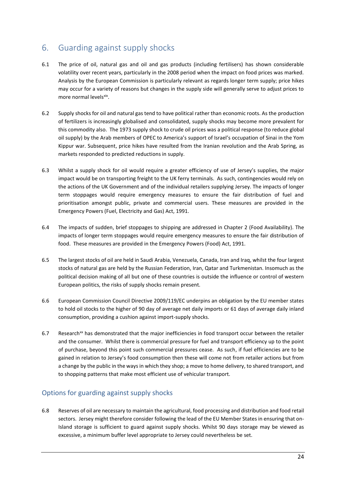## <span id="page-26-0"></span>6. Guarding against supply shocks

- 6.1 The price of oil, natural gas and oil and gas products (including fertilisers) has shown considerable volatility over recent years, particularly in the 2008 period when the impact on food prices was marked. Analysis by the European Commission is particularly relevant as regards longer term supply; price hikes may occur for a variety of reasons but changes in the supply side will generally serve to adjust prices to more normal levels<sup>xix</sup>.
- 6.2 Supply shocks for oil and natural gas tend to have political rather than economic roots. As the production of fertilizers is increasingly globalised and consolidated, supply shocks may become more prevalent for this commodity also. The 1973 supply shock to crude oil prices was a political response (to reduce global oil supply) by the Arab members of OPEC to America's support of Israel's occupation of Sinai in the Yom Kippur war. Subsequent, price hikes have resulted from the Iranian revolution and the Arab Spring, as markets responded to predicted reductions in supply.
- 6.3 Whilst a supply shock for oil would require a greater efficiency of use of Jersey's supplies, the major impact would be on transporting freight to the UK ferry terminals. As such, contingencies would rely on the actions of the UK Government and of the individual retailers supplying Jersey. The impacts of longer term stoppages would require emergency measures to ensure the fair distribution of fuel and prioritisation amongst public, private and commercial users. These measures are provided in the Emergency Powers (Fuel, Electricity and Gas) Act, 1991.
- 6.4 The impacts of sudden, brief stoppages to shipping are addressed in Chapter 2 (Food Availability). The impacts of longer term stoppages would require emergency measures to ensure the fair distribution of food. These measures are provided in the Emergency Powers (Food) Act, 1991.
- 6.5 The largest stocks of oil are held in Saudi Arabia, Venezuela, Canada, Iran and Iraq, whilst the four largest stocks of natural gas are held by the Russian Federation, Iran, Qatar and Turkmenistan. Insomuch as the political decision making of all but one of these countries is outside the influence or control of western European politics, the risks of supply shocks remain present.
- 6.6 European Commission Council Directive 2009/119/EC underpins an obligation by the EU member states to hold oil stocks to the higher of 90 day of average net daily imports or 61 days of average daily inland consumption, providing a cushion against import-supply shocks.
- 6.7 Research<sup>xx</sup> has demonstrated that the major inefficiencies in food transport occur between the retailer and the consumer. Whilst there is commercial pressure for fuel and transport efficiency up to the point of purchase, beyond this point such commercial pressures cease. As such, if fuel efficiencies are to be gained in relation to Jersey's food consumption then these will come not from retailer actions but from a change by the public in the ways in which they shop; a move to home delivery, to shared transport, and to shopping patterns that make most efficient use of vehicular transport.

## <span id="page-26-1"></span>Options for guarding against supply shocks

6.8 Reserves of oil are necessary to maintain the agricultural, food processing and distribution and food retail sectors. Jersey might therefore consider following the lead of the EU Member States in ensuring that on-Island storage is sufficient to guard against supply shocks. Whilst 90 days storage may be viewed as excessive, a minimum buffer level appropriate to Jersey could nevertheless be set.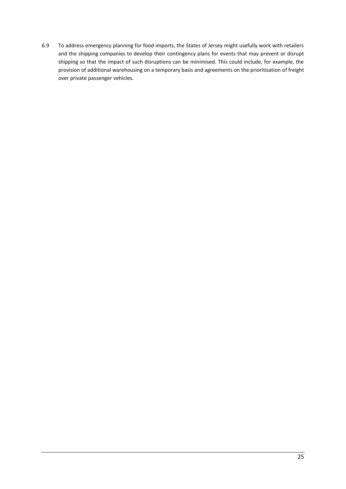6.9 To address emergency planning for food imports, the States of Jersey might usefully work with retailers and the shipping companies to develop their contingency plans for events that may prevent or disrupt shipping so that the impact of such disruptions can be minimised. This could include, for example, the provision of additional warehousing on a temporary basis and agreements on the prioritisation of freight over private passenger vehicles.